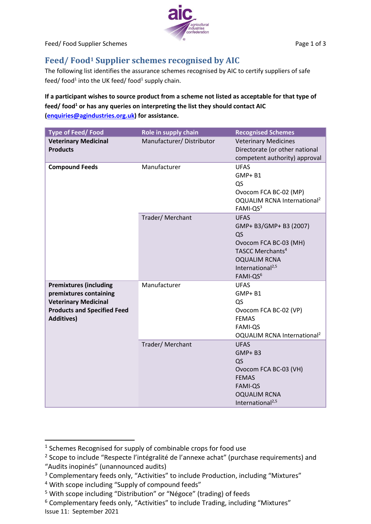

Feed/ Food Supplier Schemes **Page 1 of 3** 

## **Feed/ Food<sup>1</sup> Supplier schemes recognised by AIC**

The following list identifies the assurance schemes recognised by AIC to certify suppliers of safe feed/ food<sup>1</sup> into the UK feed/ food<sup>1</sup> supply chain.

## **If a participant wishes to source product from a scheme not listed as acceptable for that type of feed/ food<sup>1</sup> or has any queries on interpreting the list they should contact AIC [\(enquiries@agindustries.org.uk\)](mailto:enquiries@agindustries.org.uk) for assistance.**

| Type of Feed/Food                                                                                                                                 | Role in supply chain     | <b>Recognised Schemes</b>                                                                                                                                                           |
|---------------------------------------------------------------------------------------------------------------------------------------------------|--------------------------|-------------------------------------------------------------------------------------------------------------------------------------------------------------------------------------|
| <b>Veterinary Medicinal</b><br><b>Products</b>                                                                                                    | Manufacturer/Distributor | <b>Veterinary Medicines</b><br>Directorate (or other national<br>competent authority) approval                                                                                      |
| <b>Compound Feeds</b>                                                                                                                             | Manufacturer             | <b>UFAS</b><br><b>GMP+B1</b><br>QS<br>Ovocom FCA BC-02 (MP)<br>OQUALIM RCNA International <sup>2</sup><br>FAMI-QS3                                                                  |
|                                                                                                                                                   | Trader/Merchant          | <b>UFAS</b><br>GMP+ B3/GMP+ B3 (2007)<br>QS<br>Ovocom FCA BC-03 (MH)<br>TASCC Merchants <sup>4</sup><br><b>OQUALIM RCNA</b><br>International <sup>2,5</sup><br>FAMI-QS <sup>6</sup> |
| <b>Premixtures (including</b><br>premixtures containing<br><b>Veterinary Medicinal</b><br><b>Products and Specified Feed</b><br><b>Additives)</b> | Manufacturer             | <b>UFAS</b><br>GMP+B1<br>QS<br>Ovocom FCA BC-02 (VP)<br><b>FEMAS</b><br><b>FAMI-QS</b><br>OQUALIM RCNA International <sup>2</sup>                                                   |
|                                                                                                                                                   | Trader/Merchant          | <b>UFAS</b><br>GMP+B3<br>QS<br>Ovocom FCA BC-03 (VH)<br><b>FEMAS</b><br><b>FAMI-QS</b><br><b>OQUALIM RCNA</b><br>International <sup>2,5</sup>                                       |

<sup>&</sup>lt;sup>1</sup> Schemes Recognised for supply of combinable crops for food use

<sup>&</sup>lt;sup>2</sup> Scope to include "Respecte l'intégralité de l'annexe achat" (purchase requirements) and "Audits inopinés" (unannounced audits)

<sup>&</sup>lt;sup>3</sup> Complementary feeds only, "Activities" to include Production, including "Mixtures"

<sup>&</sup>lt;sup>4</sup> With scope including "Supply of compound feeds"

<sup>&</sup>lt;sup>5</sup> With scope including "Distribution" or "Négoce" (trading) of feeds

Issue 11: September 2021 <sup>6</sup> Complementary feeds only, "Activities" to include Trading, including "Mixtures"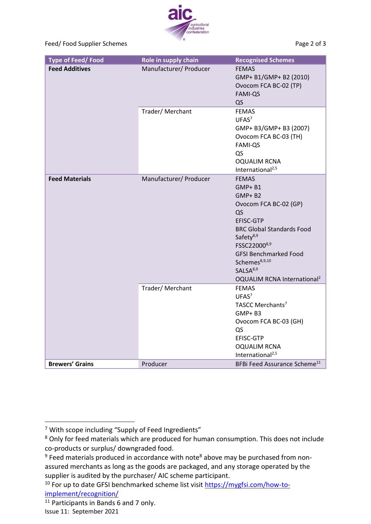industries<br>confederation

Feed/ Food Supplier Schemes **Page 2 of 3** and 2 of 3

| <b>Type of Feed/Food</b> | Role in supply chain   | <b>Recognised Schemes</b>                                                                                                                                                                                                                                                                                     |
|--------------------------|------------------------|---------------------------------------------------------------------------------------------------------------------------------------------------------------------------------------------------------------------------------------------------------------------------------------------------------------|
| <b>Feed Additives</b>    | Manufacturer/ Producer | <b>FEMAS</b><br>GMP+ B1/GMP+ B2 (2010)<br>Ovocom FCA BC-02 (TP)<br><b>FAMI-QS</b><br>QS                                                                                                                                                                                                                       |
|                          | Trader/Merchant        | <b>FEMAS</b><br>UFAS <sup>7</sup><br>GMP+ B3/GMP+ B3 (2007)<br>Ovocom FCA BC-03 (TH)<br><b>FAMI-QS</b><br>QS<br><b>OQUALIM RCNA</b><br>International <sup>2,5</sup>                                                                                                                                           |
| <b>Feed Materials</b>    | Manufacturer/ Producer | <b>FEMAS</b><br>$GMP + B1$<br>$GMP + B2$<br>Ovocom FCA BC-02 (GP)<br>Q <sub>S</sub><br>EFISC-GTP<br><b>BRC Global Standards Food</b><br>Safety <sup>8,9</sup><br>FSSC220008,9<br><b>GFSI Benchmarked Food</b><br>Schemes <sup>8,9,10</sup><br>SALSA <sup>8,9</sup><br>OQUALIM RCNA International <sup>2</sup> |
|                          | Trader/Merchant        | <b>FEMAS</b><br>UFAS <sup>7</sup><br>TASCC Merchants <sup>7</sup><br>$GMP + B3$<br>Ovocom FCA BC-03 (GH)<br>QS<br>EFISC-GTP<br><b>OQUALIM RCNA</b><br>International <sup>2,5</sup>                                                                                                                            |
| <b>Brewers' Grains</b>   | Producer               | BFBi Feed Assurance Scheme <sup>11</sup>                                                                                                                                                                                                                                                                      |

<sup>7</sup> With scope including "Supply of Feed Ingredients"

<sup>&</sup>lt;sup>8</sup> Only for feed materials which are produced for human consumption. This does not include co-products or surplus/ downgraded food.

 $9$  Feed materials produced in accordance with note<sup>8</sup> above may be purchased from nonassured merchants as long as the goods are packaged, and any storage operated by the supplier is audited by the purchaser/ AIC scheme participant.

<sup>&</sup>lt;sup>10</sup> For up to date GFSI benchmarked scheme list visit [https://mygfsi.com/how-to](https://mygfsi.com/how-to-implement/recognition/)[implement/recognition/](https://mygfsi.com/how-to-implement/recognition/)

Issue 11: September 2021  $\overline{11}$  Participants in Bands 6 and 7 only.